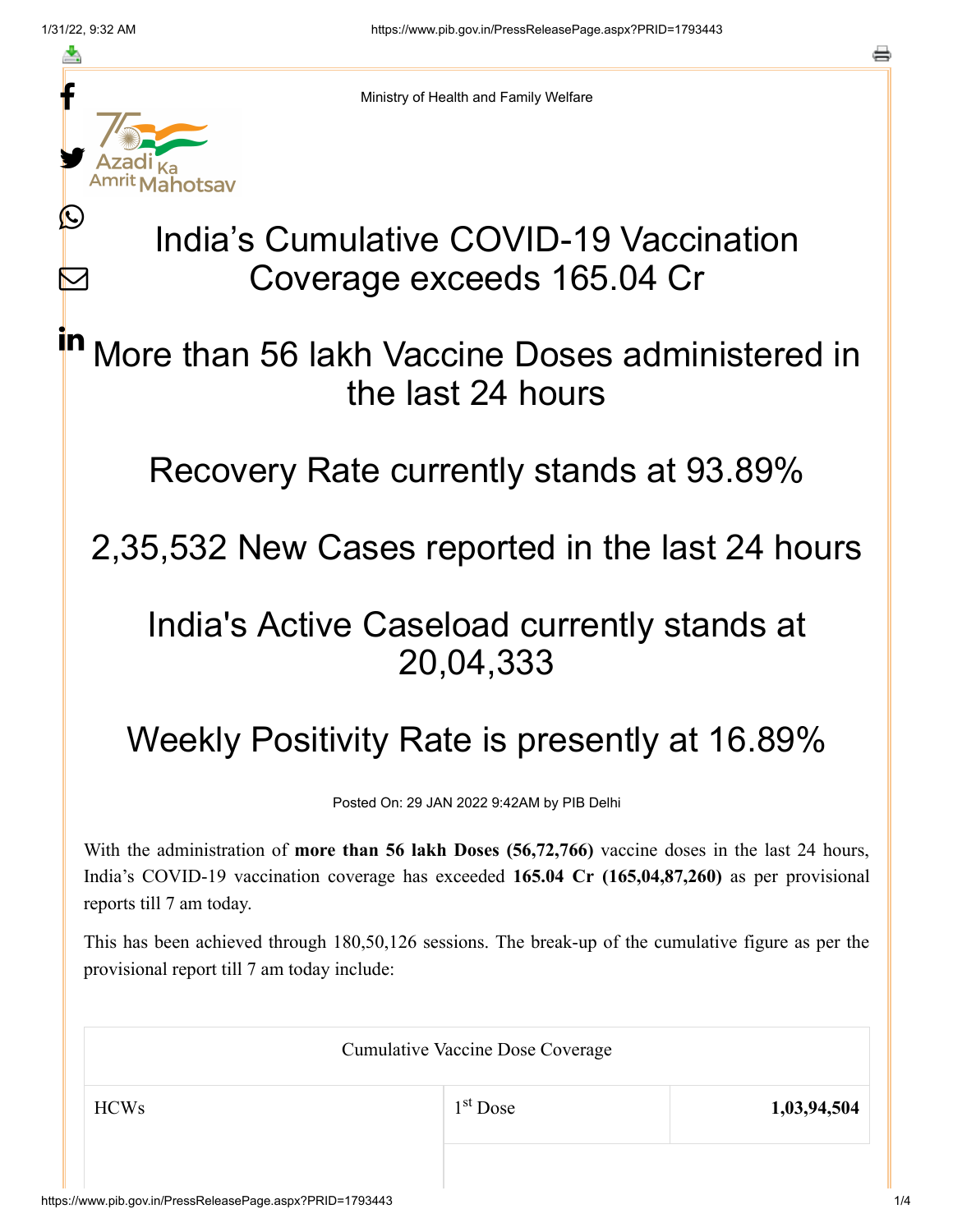≛

Ŀ

 $\bm{\nabla}$ 



Ministry of Health and Family Welfare

# India's Cumulative COVID-19 Vaccination Coverage exceeds 165.04 Cr

#### More than 56 lakh Vaccine Doses administered in the last 24 hours in

Recovery Rate currently stands at 93.89%

## 2,35,532 New Cases reported in the last 24 hours

## India's Active Caseload currently stands at 20,04,333

# Weekly Positivity Rate is presently at 16.89%

Posted On: 29 JAN 2022 9:42AM by PIB Delhi

With the administration of **more than 56 lakh Doses (56,72,766)** vaccine doses in the last 24 hours, India's COVID-19 vaccination coverage has exceeded **165.04 Cr (165,04,87,260)** as per provisional reports till 7 am today.

This has been achieved through 180,50,126 sessions. The break-up of the cumulative figure as per the provisional report till 7 am today include:

| <b>Cumulative Vaccine Dose Coverage</b> |            |             |  |
|-----------------------------------------|------------|-------------|--|
| <b>HCWs</b>                             | $1st$ Dose | 1,03,94,504 |  |
|                                         |            |             |  |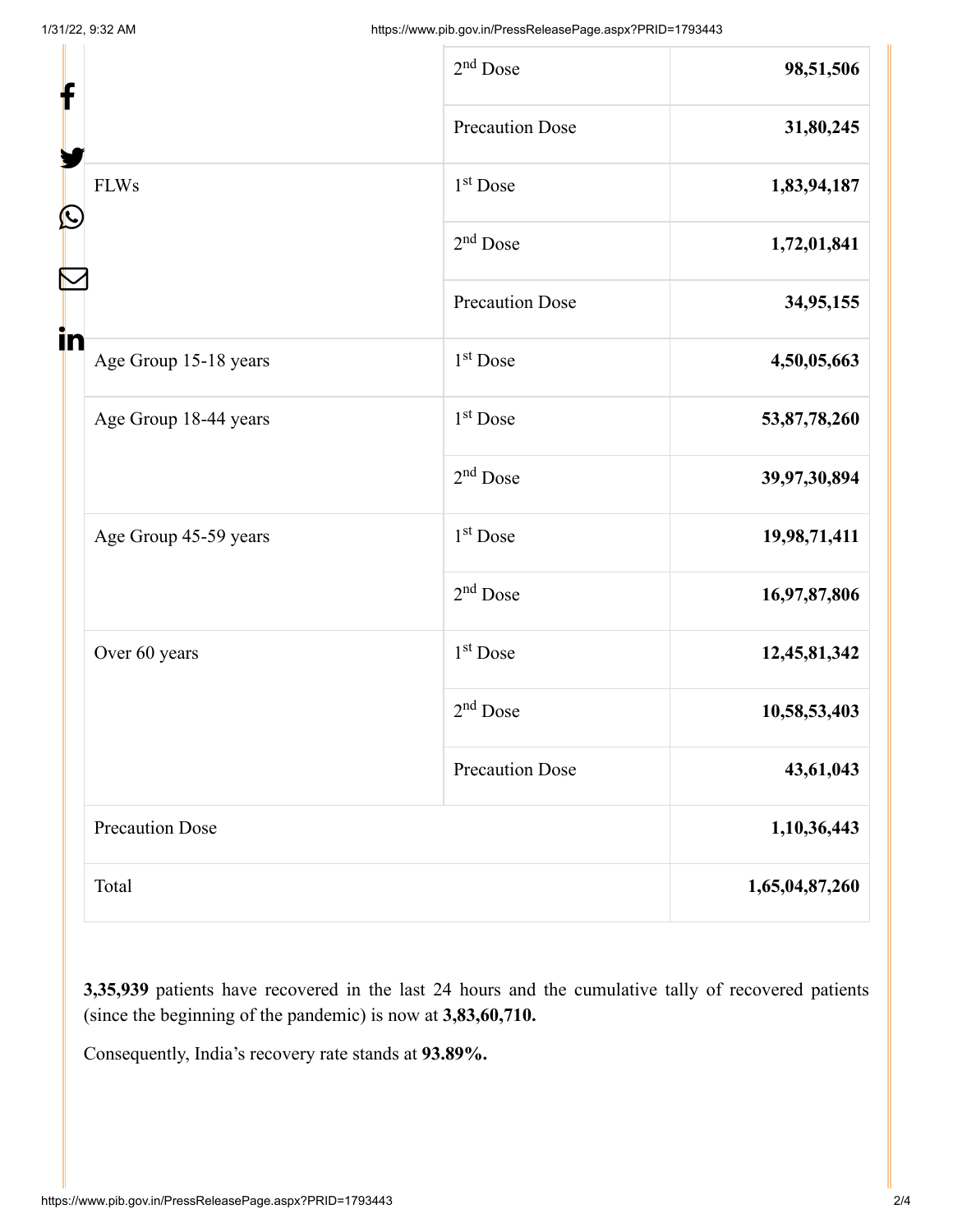|                             | $2nd$ Dose             | 98,51,506      |
|-----------------------------|------------------------|----------------|
| f                           | <b>Precaution Dose</b> | 31,80,245      |
| <b>FLWs</b>                 | $1st$ Dose             | 1,83,94,187    |
| C                           | $2nd$ Dose             | 1,72,01,841    |
|                             | <b>Precaution Dose</b> | 34,95,155      |
| in<br>Age Group 15-18 years | 1 <sup>st</sup> Dose   | 4,50,05,663    |
| Age Group 18-44 years       | 1 <sup>st</sup> Dose   | 53,87,78,260   |
|                             | $2nd$ Dose             | 39,97,30,894   |
| Age Group 45-59 years       | $1st$ Dose             | 19,98,71,411   |
|                             | $2nd$ Dose             | 16,97,87,806   |
| Over 60 years               | 1 <sup>st</sup> Dose   | 12,45,81,342   |
|                             | $2nd$ Dose             | 10,58,53,403   |
|                             | <b>Precaution Dose</b> | 43,61,043      |
| <b>Precaution Dose</b>      |                        | 1,10,36,443    |
| Total                       |                        | 1,65,04,87,260 |

**3,35,939** patients have recovered in the last 24 hours and the cumulative tally of recovered patients (since the beginning of the pandemic) is now at **3,83,60,710.**

Consequently, India's recovery rate stands at **93.89%.**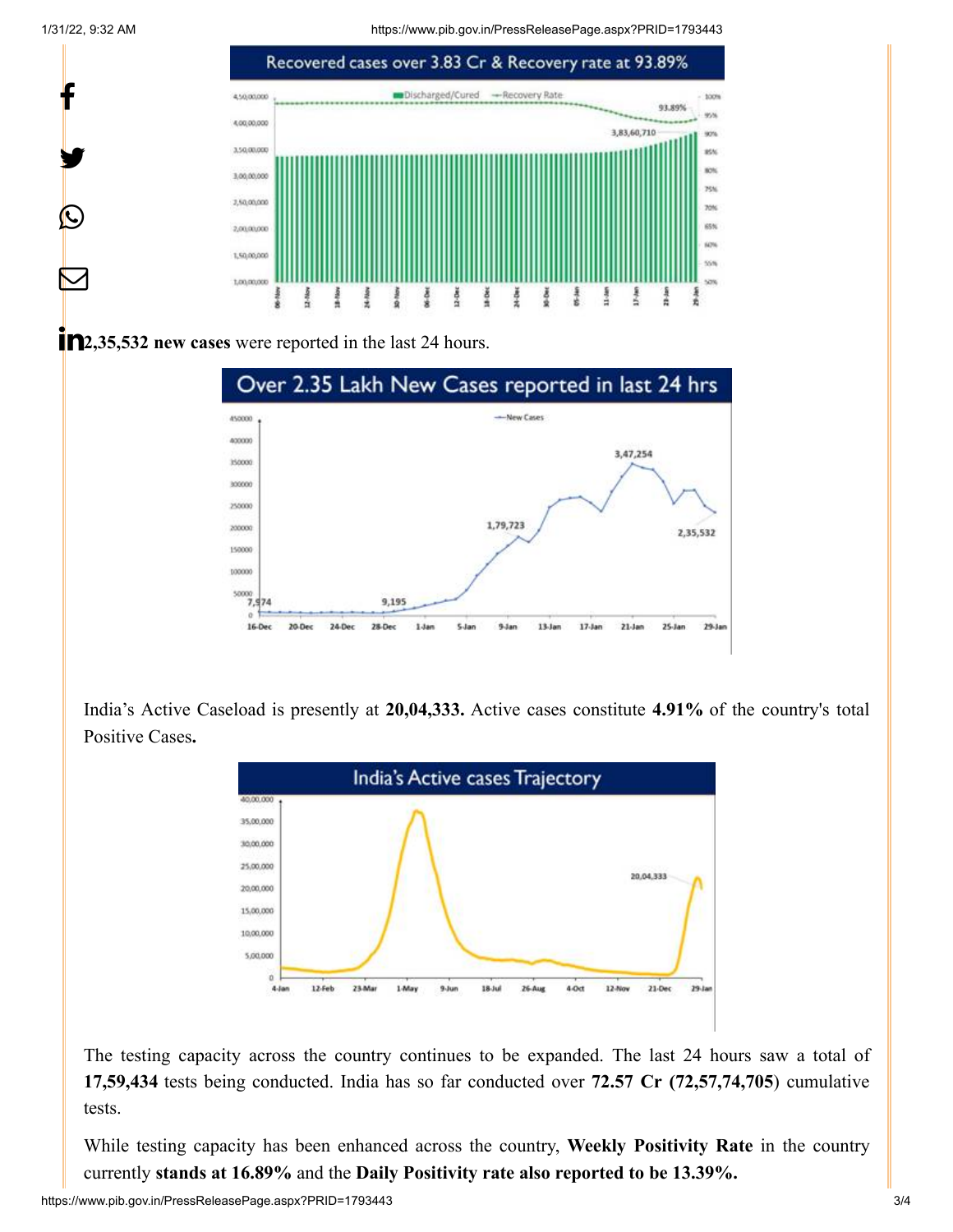1/31/22, 9:32 AM https://www.pib.gov.in/PressReleasePage.aspx?PRID=1793443



**12,35,532 new cases** were reported in the last 24 hours.



India's Active Caseload is presently at **20,04,333.** Active cases constitute **4.91%** of the country's total Positive Cases**.**



The testing capacity across the country continues to be expanded. The last 24 hours saw a total of **17,59,434** tests being conducted. India has so far conducted over **72.57 Cr (72,57,74,705**) cumulative tests.

While testing capacity has been enhanced across the country, **Weekly Positivity Rate** in the country currently **stands at 16.89%** and the **Daily Positivity rate also reported to be 13.39%.**